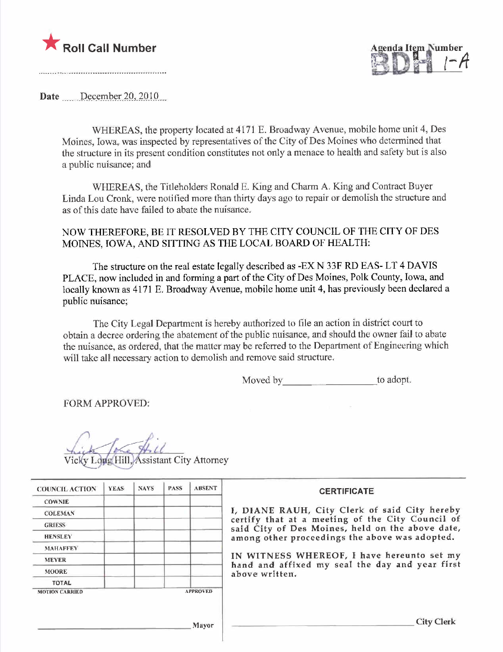



Date December 20, 2010

WHEREAS, the property located at 4171 E. Broadway Avenue, mobile home unit 4, Des Moines, Iowa, was inspected by representatives of the City of Des Moines who determined that the structure in its present condition constitutes not only a menace to health and safety but is also a public nuisance; and

WHEREAS, the Titleholders Ronald E. King and Charm A. King and Contract Buyer Linda Lou Cronk, were notified more than thirty days ago to repair or demolish the structure and as of this date have failed to abate the nuisance.

NOW THEREFORE, BE IT RESOLVED BY THE CITY COUNCIL OF THE CITY OF DES MOINES, IOWA, AND SITTING AS THE LOCAL BOARD OF HEALTH:

The structure on the real estate legally described as -EX N 33F RD EAS- LT 4 DAVIS PLACE, now included in and forming a part of the City of Des Moines, Polk County, Iowa, and locally known as 4171 E. Broadway Avenue, mobile home unit 4, has previously been declared a public nuisance;

The City Legal Department is hereby authorized to fie an action in district court to obtain a decree ordering the abatement of the public nuisance, and should the owner fail to abate the nuisance, as ordered, that the matter may be referred to the Deparment of Engineering which will take all necessary action to demolish and remove said structure.

Moved by to adopt.

FORM APPROVED:

Vicky Loug Hill Assistant City Attorney

| <b>COUNCIL ACTION</b> | <b>YEAS</b> | <b>NAYS</b> | <b>PASS</b> | <b>ABSENT</b>   | <b>CERTIFICATE</b>                                                                                   |
|-----------------------|-------------|-------------|-------------|-----------------|------------------------------------------------------------------------------------------------------|
| <b>COWNIE</b>         |             |             |             |                 |                                                                                                      |
| <b>COLEMAN</b>        |             |             |             |                 | I, DIANE RAUH, City Clerk of said City hereby                                                        |
| <b>GRIESS</b>         |             |             |             |                 | certify that at a meeting of the City Council of<br>said City of Des Moines, held on the above date, |
| <b>HENSLEY</b>        |             |             |             |                 | among other proceedings the above was adopted.                                                       |
| <b>MAHAFFEY</b>       |             |             |             |                 |                                                                                                      |
| <b>MEYER</b>          |             |             |             |                 | IN WITNESS WHEREOF, I have hereunto set my                                                           |
| <b>MOORE</b>          |             |             |             |                 | hand and affixed my seal the day and year first<br>above written.                                    |
| <b>TOTAL</b>          |             |             |             |                 |                                                                                                      |
| <b>MOTION CARRIED</b> |             |             |             | <b>APPROVED</b> |                                                                                                      |
|                       |             |             |             |                 |                                                                                                      |
|                       |             |             |             | Mayor           | <b>City Clerk</b>                                                                                    |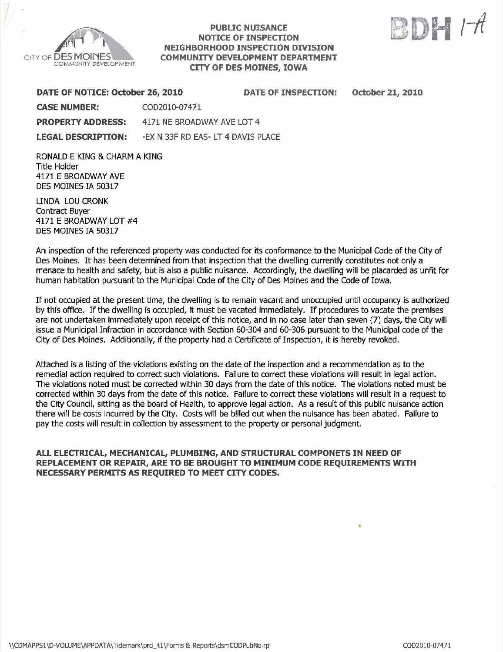

### **PUBLIC NUISANCE** NOTICE OF INSPECTON NEIGHBORHOOD INSPECTON DIVISION COMMUNITY DEVELOPMENT DEPARTMENT CITY OF DES MOINES, IOWA



| <b>DATE OF INSPECTION:</b>                        | <b>October 21, 2010</b>                                          |
|---------------------------------------------------|------------------------------------------------------------------|
|                                                   |                                                                  |
|                                                   |                                                                  |
|                                                   |                                                                  |
| DATE OF NOTICE: October 26, 2010<br>COD2010-07471 | 4171 NE BROADWAY AVE LOT 4<br>-EX N 33F RD EAS- LT 4 DAVIS PLACE |

RONALD EKING & CHARM A KING Title Holder 4171 E BROADWAY AVE DES MOINES IA S0317

LINDA LOU CRONK Contract Buyer 4171 E BROADWAY LOT #4 DES MOINES IA S0317

An inspection of the referenced property was conducted for its conformance to the Municipal Code of the City of Des Moines. It has been determined from that inspection that the dweiling currently constitutes not only a menace to health and safety, but is also a public nuisance. Accordingly, the dwelling will be placarded as unfit for human habitation pursuant to the Municipal Code of the City of Des Moines and the Code of Iowa.

If not occupied at the present time, the dwellng is to remain vacant and unoccupied until occupancy is authorized by this office. If the dwelling is occupied, it must be vacated immediately. If procedures to vacate the premises are not undertaken immediately upon receipt of this notice, and in no case later than seven (7) days, the City will issue a Municipal Infraction in accordance with Section 60-304 and 60-306 pursuant to the Municipal code of the City of Des Moines. Additionally, if the property had a Certificate of Inspection, it is hereby revoked.

Attached is a listing of the violations existing on the date of the inspection and a recommendation as to the remedial action required to correct such violations. Failure to correct these vioiations wil result in legal action. The violations noted must be correced within 30 days from the date of this notice. The violations noted must be corrected within 30 days from the date of this notice. Failure to correct these violations wil result in a request to the City Council, sitting as the board of Health, to approve legal action. As a result of this public nuisance action there will be costs incurred by the City. Costs wil be biled out when the nuisance has been abated. Failure to pay the costs will result in collection by assessment to the property or personal judgment.

ALL ELECTRICAL, MECHANICAL, PLUMBING, AND STRUCTURAL COMPONETS IN NEED OF REPLACEMENT OR REPAIR, ARE TO BE BROUGHT TO MINIMUM CODE REQUIREMENTS WITH NECESSARY PERMITS AS REQUIRED TO MEET CITY CODES.

.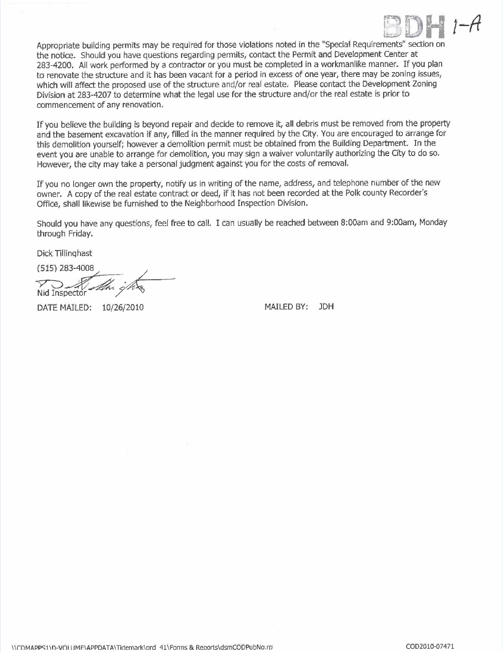

Appropriate building permits may be required for those violations noted in the "Special Requirements" section on the notice. Should you have questions regarding permits, contact the Permit and Development Center at 283-4200. All work performed by a contractor or you must be completed in a workmanlike manner. If you plan to renovate the structure and it has been vacant for a period in excess of one year, there may be zoning issues, which will affect the proposed use of the structure and/or real estate. Please contact the Development Zoning Division at 283-4207 to determine what the legal use for the structure and/or the real estate is prior to commencement of any renovation.

If you believe the building is beyond repair and decide to remove it, all debris must be removed from the property and the basement excavation if any, filled in the manner required by the City. You are encouraged to arrange for this demolition yourself; however a demolition permit must be obtained from the Building Department. In the event you are unable to arrange for demolition, you may sign a waiver voluntarily authorizing the City to do so. However, the city may take a personal judgment against you for the costs of removaL.

If you no longer own the property, notify us in writing of the name, address, and telephone number of the new owner. A copy of the real estate contract or deed, if it has not been recorded at the Polk county Recorder's Office, shall likewise be furnished to the Neighborhood Inspection Division.

Should you have any questions, feel free to calL. I can usually be reached between 8:00am and 9:00am, Monday through Friday.

Dick Tillinghast

Dick Tillinghast<br>(515) 283-4008<br>Nid Inspector

DATE MAILED:  $10/26/2010$  MAILED BY: JDH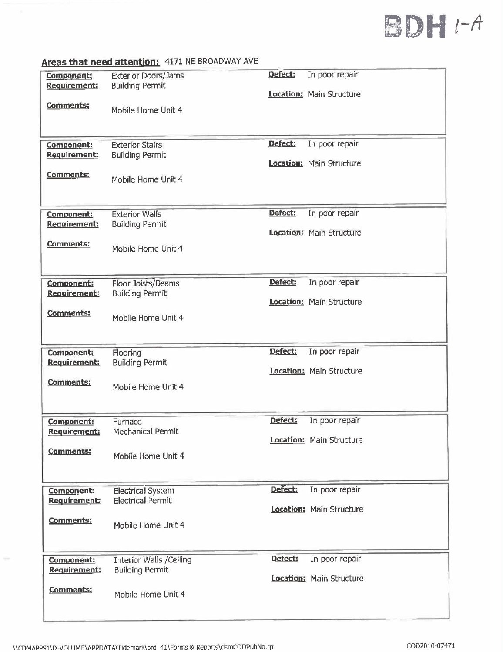# BDH I-A

| Component:          | <b>Exterior Doors/Jams</b>     | Defect: | In poor repair                  |
|---------------------|--------------------------------|---------|---------------------------------|
| <b>Requirement:</b> | <b>Building Permit</b>         |         |                                 |
|                     |                                |         | <b>Location: Main Structure</b> |
|                     |                                |         |                                 |
| Comments:           | Mobile Home Unit 4             |         |                                 |
|                     |                                |         |                                 |
|                     |                                |         |                                 |
|                     |                                |         |                                 |
| Component:          | <b>Exterior Stairs</b>         | Defect: | In poor repair                  |
| Requirement:        | <b>Building Permit</b>         |         |                                 |
|                     |                                |         | <b>Location: Main Structure</b> |
| <b>Comments:</b>    |                                |         |                                 |
|                     | Mobile Home Unit 4             |         |                                 |
|                     |                                |         |                                 |
|                     |                                |         |                                 |
| Component:          | <b>Exterior Walls</b>          | Defect: | In poor repair                  |
| <b>Requirement:</b> | <b>Building Permit</b>         |         |                                 |
|                     |                                |         | <b>Location: Main Structure</b> |
| <b>Comments:</b>    |                                |         |                                 |
|                     | Mobile Home Unit 4             |         |                                 |
|                     |                                |         |                                 |
|                     |                                |         |                                 |
|                     |                                | Defect: | In poor repair                  |
| Component:          | Floor Joists/Beams             |         |                                 |
| <b>Requirement:</b> | <b>Building Permit</b>         |         | <b>Location:</b> Main Structure |
|                     |                                |         |                                 |
| <b>Comments:</b>    | Mobile Home Unit 4             |         |                                 |
|                     |                                |         |                                 |
|                     |                                |         |                                 |
|                     |                                |         |                                 |
| Component:          | Flooring                       | Defect: | In poor repair                  |
| Requirement:        | <b>Building Permit</b>         |         |                                 |
|                     |                                |         | <b>Location:</b> Main Structure |
| <b>Comments:</b>    | Mobile Home Unit 4             |         |                                 |
|                     |                                |         |                                 |
|                     |                                |         |                                 |
|                     |                                |         |                                 |
| Component:          | Furnace                        | Defect: | In poor repair                  |
| <b>Requirement:</b> | Mechanical Permit              |         |                                 |
|                     |                                |         | Location: Main Structure        |
| <b>Comments:</b>    | Mobile Home Unit 4             |         |                                 |
|                     |                                |         |                                 |
|                     |                                |         |                                 |
|                     |                                |         |                                 |
| Component:          | <b>Electrical System</b>       | Defect: | In poor repair                  |
| Requirement:        | <b>Electrical Permit</b>       |         |                                 |
|                     |                                |         | <b>Location: Main Structure</b> |
| <b>Comments:</b>    |                                |         |                                 |
|                     | Mobile Home Unit 4             |         |                                 |
|                     |                                |         |                                 |
|                     |                                |         |                                 |
| Component:          | <b>Interior Walls /Celling</b> | Defect: | In poor repair                  |
| <b>Requirement:</b> | <b>Building Permit</b>         |         |                                 |
|                     |                                |         | <b>Location:</b> Main Structure |
| Comments:           |                                |         |                                 |
|                     | Mobile Home Unit 4             |         |                                 |
|                     |                                |         |                                 |
|                     |                                |         |                                 |

## Areas that need attention: 4171 NE BROADWAY AVE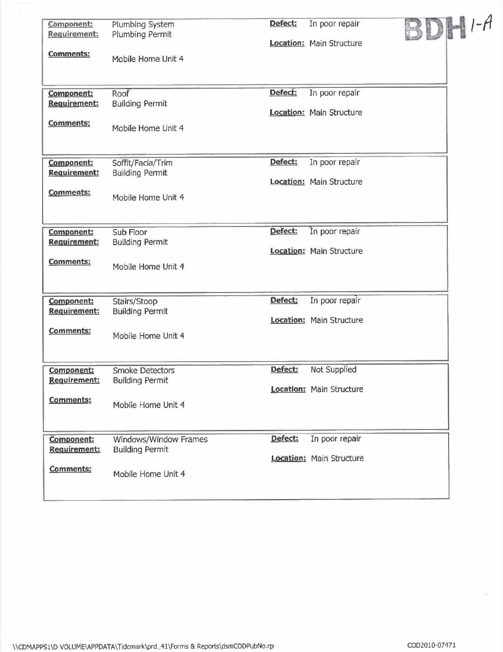| Component:<br>Requirement: | Plumbing System<br>Plumbing Permit     | Defect; | In poor repair                  | BDHI-A |  |
|----------------------------|----------------------------------------|---------|---------------------------------|--------|--|
|                            |                                        |         | Location: Main Structure        |        |  |
| <b>Comments:</b>           | Mobile Home Unit 4                     |         |                                 |        |  |
|                            |                                        |         |                                 |        |  |
| <b>Component:</b>          | Roof                                   | Defect: | In poor repair                  |        |  |
| Requirement:               | <b>Building Permit</b>                 |         | Location: Main Structure        |        |  |
| <b>Comments:</b>           | Mobile Home Unit 4                     |         |                                 |        |  |
|                            |                                        |         |                                 |        |  |
| Component:                 | Soffit/Facia/Trim                      | Defect: | In poor repair                  |        |  |
| Requirement:               | <b>Building Permit</b>                 |         | Location: Main Structure        |        |  |
| <b>Comments:</b>           | Mobile Home Unit 4                     |         |                                 |        |  |
|                            |                                        |         |                                 |        |  |
| <b>Component:</b>          | Sub Floor                              | Defect: | In poor repair                  |        |  |
| Requirement:               | <b>Building Permit</b>                 |         |                                 |        |  |
| Comments:                  |                                        |         | <b>Location: Main Structure</b> |        |  |
|                            | Mobile Home Unit 4                     |         |                                 |        |  |
|                            |                                        |         |                                 |        |  |
| Component:<br>Requirement: | Stairs/Stoop<br><b>Building Permit</b> | Defect: | In poor repair                  |        |  |
|                            |                                        |         | <b>Location:</b> Main Structure |        |  |
| Comments:                  | Mobile Home Unit 4                     |         |                                 |        |  |
|                            |                                        |         |                                 |        |  |
| Component:                 | <b>Smoke Detectors</b>                 | Defect: | Not Supplied                    |        |  |
| <b>Requirement:</b>        | <b>Building Permit</b>                 |         | Location: Main Structure        |        |  |
| Comments:                  | Mobile Home Unit 4                     |         |                                 |        |  |
|                            |                                        |         |                                 |        |  |
| Component:                 | Windows/Window Frames                  | Defect: | In poor repair                  |        |  |
| <b>Requirement:</b>        | <b>Building Permit</b>                 |         | Location: Main Structure        |        |  |
| Comments:                  | Mobile Home Unit 4                     |         |                                 |        |  |
|                            |                                        |         |                                 |        |  |
|                            |                                        |         |                                 |        |  |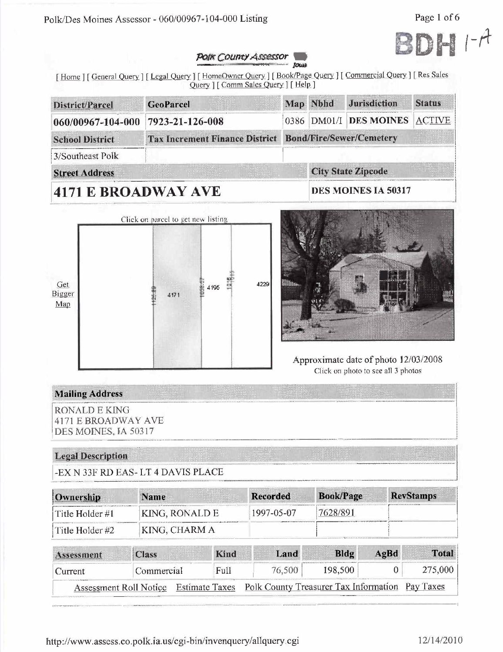Polk/Des Moines Assessor - 060/00967-104-000 Listing

Page 1 of 6



#### **POIK COUNTY ASSESSOR Юща**

[Home ] [ General Query ] [ Legal Query ] [ HomeOwner Query ] [ Book/Page Query ] [ Commercial Query ] [ Res Sales Query ] [ Comm Sales Query ] [ Help ]

| District/Parcel                | <b>GeoParcel</b>                      |                                 | Map Nbhd    | <b>Jurisdiction</b>       | <b>Status</b> |
|--------------------------------|---------------------------------------|---------------------------------|-------------|---------------------------|---------------|
| 060/00967-104-000              | 7923-21-126-008                       |                                 | 0386 DM01/I | <b>DES MOINES</b>         | ACTIVE        |
| <b>School District</b>         | <b>Tax Increment Finance District</b> | <b>Bond/Fire/Sewer/Cemetery</b> |             |                           |               |
| 3/Southeast Polk               |                                       |                                 |             |                           |               |
| <b>Street Address</b>          |                                       |                                 |             | <b>City State Zipcode</b> |               |
| $\mathbf{A}$ is not a nitrate. |                                       | DEC MOINES LA 50217             |             |                           |               |

# 4171 E BROADWAY AVE

DES MOINES IA 50317





# Approximate date of photo 12/03/2008 Click on photo to see all 3 photos

# **Mailing Address**

**RONALD E KING 4171 E BROADWAY AVE** DES MOINES, IA 50317

# **Legal Description**

-EX N 33F RD EAS-LT 4 DAVIS PLACE

| Ownership       | <b>Name</b>    | Recorded   | <b>Book/Page</b> | <b>RevStamps</b> |
|-----------------|----------------|------------|------------------|------------------|
| Title Holder #1 | KING, RONALD E | 1997-05-07 | 7628/891         |                  |
| Title Holder #2 | KING, CHARM A  |            |                  |                  |

| Assessment | <b>Class</b>           | Kind | Land                                                           | Bldg    | AgBd | <b>Total</b> |
|------------|------------------------|------|----------------------------------------------------------------|---------|------|--------------|
| Current    | Commercial             | Full | 76.500                                                         | 198.500 |      | 275,000      |
|            | Assessment Roll Notice |      | Estimate Taxes Polk County Treasurer Tax Information Pay Taxes |         |      |              |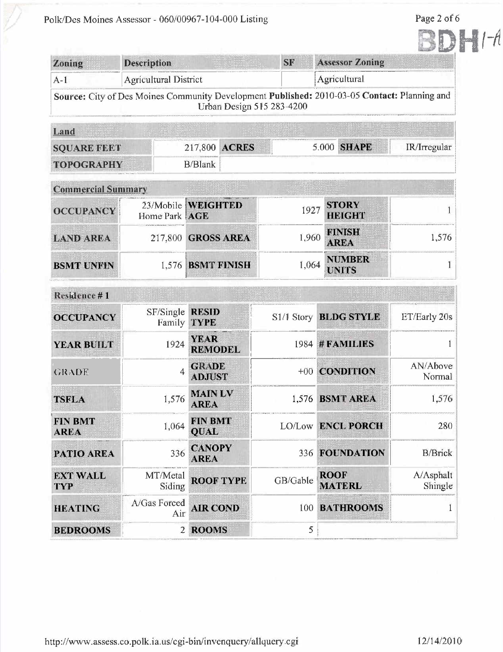Polk/Des Moines Assessor - 060/00967-104-000 Listing

Page 2 of  $6\,$ 

 $H$ 

| Zoning                        | <b>Description</b>           |                                | <b>SF</b> | <b>Assessor Zoning</b>                                                                       |                      |  |
|-------------------------------|------------------------------|--------------------------------|-----------|----------------------------------------------------------------------------------------------|----------------------|--|
| $A-1$                         | <b>Agricultural District</b> |                                |           | Agricultural                                                                                 |                      |  |
|                               |                              | Urban Design 515 283-4200      |           | Source: City of Des Moines Community Development Published: 2010-03-05 Contact: Planning and |                      |  |
| Land                          |                              |                                |           |                                                                                              |                      |  |
| <b>SQUARE FEET</b>            |                              | <b>ACRES</b><br>217,800        |           | 5.000 SHAPE                                                                                  | IR/Irregular         |  |
| <b>TOPOGRAPHY</b>             |                              | <b>B/Blank</b>                 |           |                                                                                              |                      |  |
| <b>Commercial Summary</b>     |                              |                                |           |                                                                                              |                      |  |
| <b>OCCUPANCY</b>              | Home Park AGE                | 23/Mobile WEIGHTED             | 1927      | <b>STORY</b><br><b>HEIGHT</b>                                                                |                      |  |
| <b>LAND AREA</b>              |                              | 217,800 GROSS AREA             | 1,960     | <b>FINISH</b><br><b>AREA</b>                                                                 | 1,576                |  |
| <b>BSMT UNFIN</b>             |                              | 1,576 BSMT FINISH              | 1,064     | <b>NUMBER</b><br><b>UNITS</b>                                                                |                      |  |
| Residence #1                  |                              |                                |           |                                                                                              |                      |  |
| <b>OCCUPANCY</b>              | SF/Single<br>Family          | <b>RESID</b><br><b>TYPE</b>    |           | S1/1 Story BLDG STYLE                                                                        | ET/Early 20s         |  |
| <b>YEAR BUILT</b>             | 1924                         | <b>YEAR</b><br><b>REMODEL</b>  |           | 1984 # FAMILIES                                                                              |                      |  |
| <b>GRADE</b>                  | $\overline{4}$               | <b>GRADE</b><br><b>ADJUST</b>  |           | +00 CONDITION                                                                                | AN/Above<br>Normal   |  |
| <b>TSFLA</b>                  |                              | $1,576$ MAIN LV<br><b>AREA</b> |           | 1,576 BSMT AREA                                                                              | 1,576                |  |
| <b>FIN BMT</b><br><b>AREA</b> | 1,064                        | <b>FIN BMT</b><br><b>QUAL</b>  |           | LO/Low ENCL PORCH                                                                            | 280                  |  |
| PATIO AREA                    | 336                          | <b>CANOPY</b><br><b>AREA</b>   |           | 336 FOUNDATION                                                                               | <b>B/Brick</b>       |  |
| <b>EXT WALL</b><br><b>TYP</b> | MT/Metal<br>Siding           | <b>ROOF TYPE</b>               | GB/Gable  | <b>ROOF</b><br><b>MATERL</b>                                                                 | A/Asphalt<br>Shingle |  |
| <b>HEATING</b>                | A/Gas Forced<br>Air          | <b>AIR COND</b>                | 100       | <b>BATHROOMS</b>                                                                             | 1                    |  |
| <b>BEDROOMS</b>               | $\overline{2}$               | <b>ROOMS</b>                   | 5         |                                                                                              |                      |  |